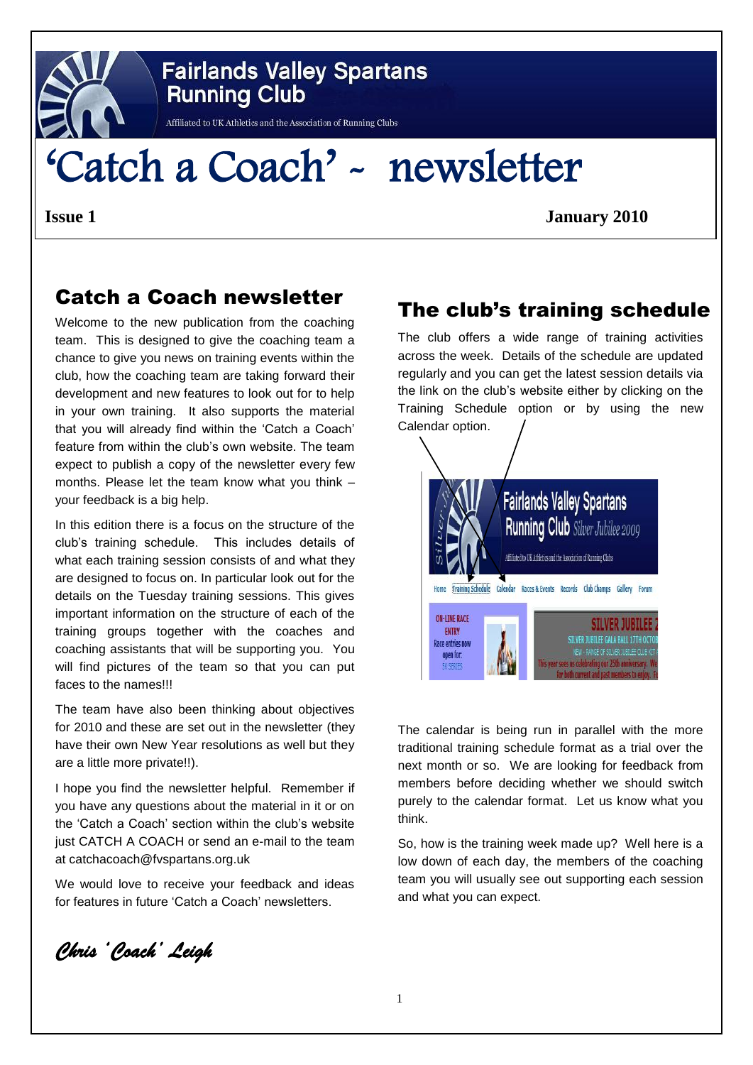

# **Fairlands Valley Spartans Running Club**

 $\frac{11}{2}$ 

# 'Catch a Coach' - newsletter

**Issue 1 January 2010**

## Catch a Coach newsletter

Welcome to the new publication from the coaching team. This is designed to give the coaching team a chance to give you news on training events within the club, how the coaching team are taking forward their development and new features to look out for to help in your own training. It also supports the material that you will already find within the 'Catch a Coach' feature from within the club's own website. The team expect to publish a copy of the newsletter every few months. Please let the team know what you think – your feedback is a big help.

In this edition there is a focus on the structure of the club's training schedule. This includes details of what each training session consists of and what they are designed to focus on. In particular look out for the details on the Tuesday training sessions. This gives important information on the structure of each of the training groups together with the coaches and coaching assistants that will be supporting you. You will find pictures of the team so that you can put faces to the names!!!

The team have also been thinking about objectives for 2010 and these are set out in the newsletter (they have their own New Year resolutions as well but they are a little more private!!).

I hope you find the newsletter helpful. Remember if you have any questions about the material in it or on the 'Catch a Coach' section within the club's website just CATCH A COACH or send an e-mail to the team at catchacoach@fvspartans.org.uk

We would love to receive your feedback and ideas for features in future 'Catch a Coach' newsletters.

The club's training schedule

The club offers a wide range of training activities across the week. Details of the schedule are updated regularly and you can get the latest session details via the link on the club's website either by clicking on the Training Schedule option or by using the new Calendar option.



The calendar is being run in parallel with the more traditional training schedule format as a trial over the next month or so. We are looking for feedback from members before deciding whether we should switch purely to the calendar format. Let us know what you think.

So, how is the training week made up? Well here is a low down of each day, the members of the coaching team you will usually see out supporting each session and what you can expect.

*Chris 'Coach' Leigh*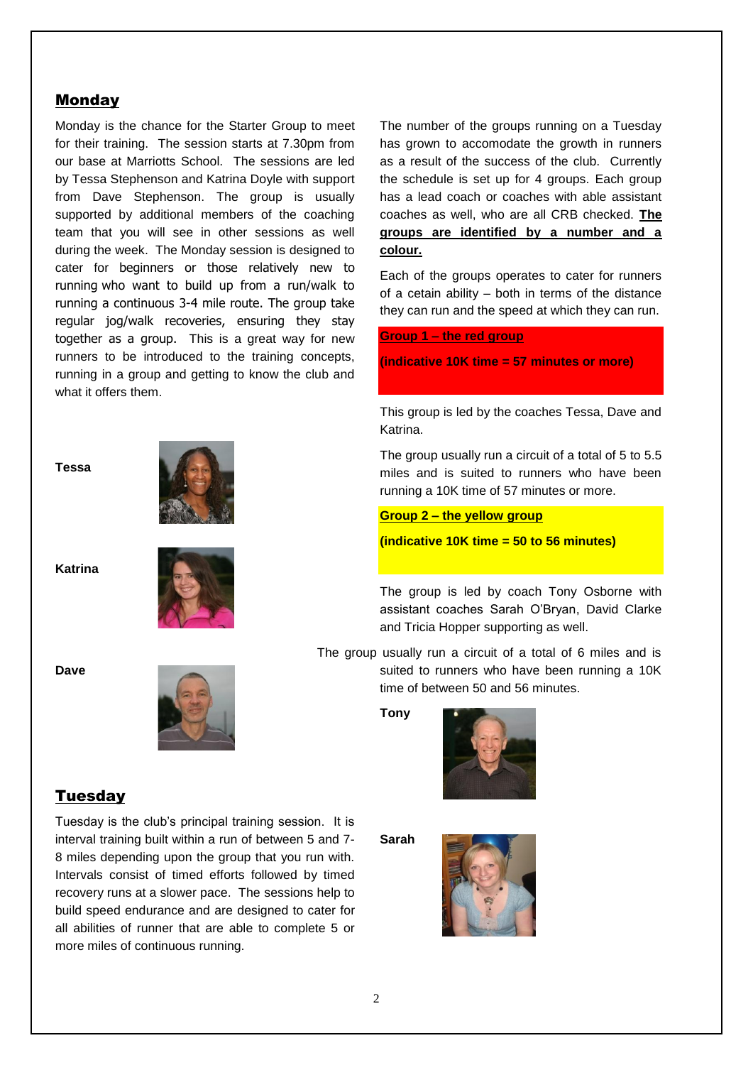### Monday

Monday is the chance for the Starter Group to meet for their training. The session starts at 7.30pm from our base at Marriotts School. The sessions are led by Tessa Stephenson and Katrina Doyle with support from Dave Stephenson. The group is usually supported by additional members of the coaching team that you will see in other sessions as well during the week. The Monday session is designed to cater for beginners or those relatively new to running who want to build up from a run/walk to running a continuous 3-4 mile route. The group take regular jog/walk recoveries, ensuring they stay together as a group. This is a great way for new runners to be introduced to the training concepts, running in a group and getting to know the club and what it offers them.

**Tessa**



**Katrina**



**Dave**



### Tuesday

Tuesday is the club's principal training session. It is interval training built within a run of between 5 and 7- 8 miles depending upon the group that you run with. Intervals consist of timed efforts followed by timed recovery runs at a slower pace. The sessions help to build speed endurance and are designed to cater for all abilities of runner that are able to complete 5 or more miles of continuous running.

The number of the groups running on a Tuesday has grown to accomodate the growth in runners as a result of the success of the club. Currently the schedule is set up for 4 groups. Each group has a lead coach or coaches with able assistant coaches as well, who are all CRB checked. **The groups are identified by a number and a colour.**

Each of the groups operates to cater for runners of a cetain ability – both in terms of the distance they can run and the speed at which they can run.

**Group 1 – the red group**

**(indicative 10K time = 57 minutes or more)**

This group is led by the coaches Tessa, Dave and Katrina.

The group usually run a circuit of a total of 5 to 5.5 miles and is suited to runners who have been running a 10K time of 57 minutes or more.

### **Group 2 – the yellow group**

**(indicative 10K time = 50 to 56 minutes)**

The group is led by coach Tony Osborne with assistant coaches Sarah O'Bryan, David Clarke and Tricia Hopper supporting as well.

The group usually run a circuit of a total of 6 miles and is suited to runners who have been running a 10K time of between 50 and 56 minutes.

**Tony** 



**Sarah**

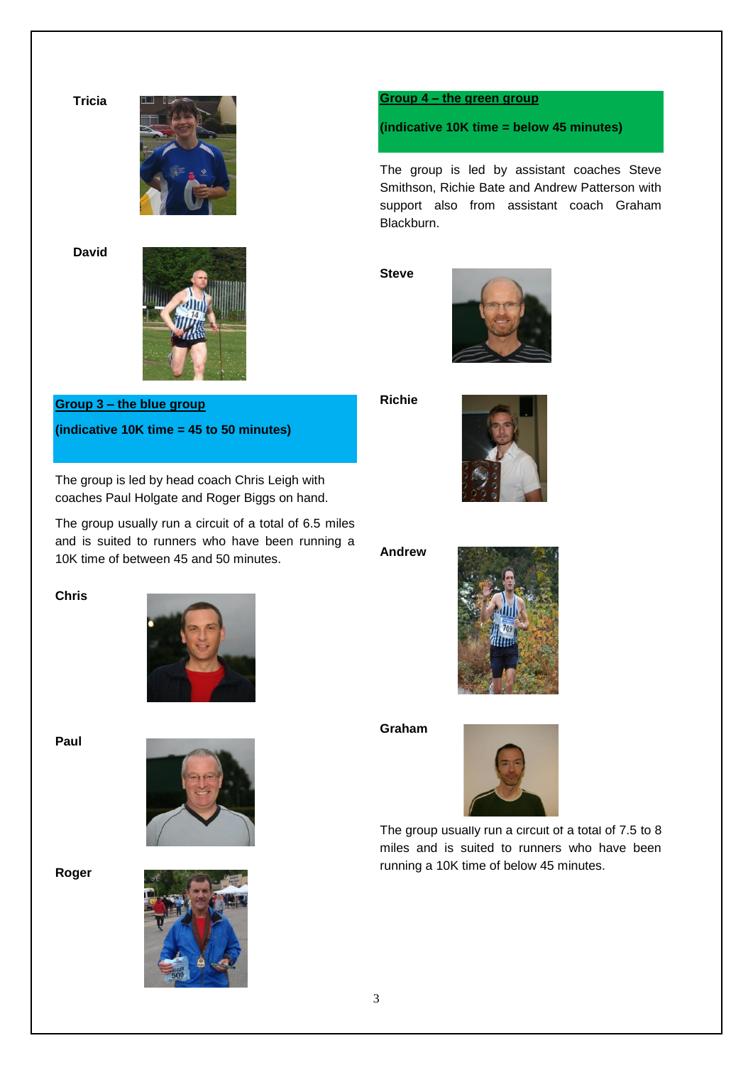



**David**



## **Group 3 – the blue group (indicative 10K time = 45 to 50 minutes)**

The group is led by head coach Chris Leigh with coaches Paul Holgate and Roger Biggs on hand.

The group usually run a circuit of a total of 6.5 miles and is suited to runners who have been running a 10K time of between 45 and 50 minutes.

### **Group 4 – the green group**

**(indicative 10K time = below 45 minutes)**

The group is led by assistant coaches Steve Smithson, Richie Bate and Andrew Patterson with support also from assistant coach Graham Blackburn.

**Steve**



**Richie** 



**Andrew**



**Graham**



The group usually run a circuit of a total of 7.5 to 8 miles and is suited to runners who have been running a 10K time of below 45 minutes.

**Chris**



**Paul** 



**Roger** 

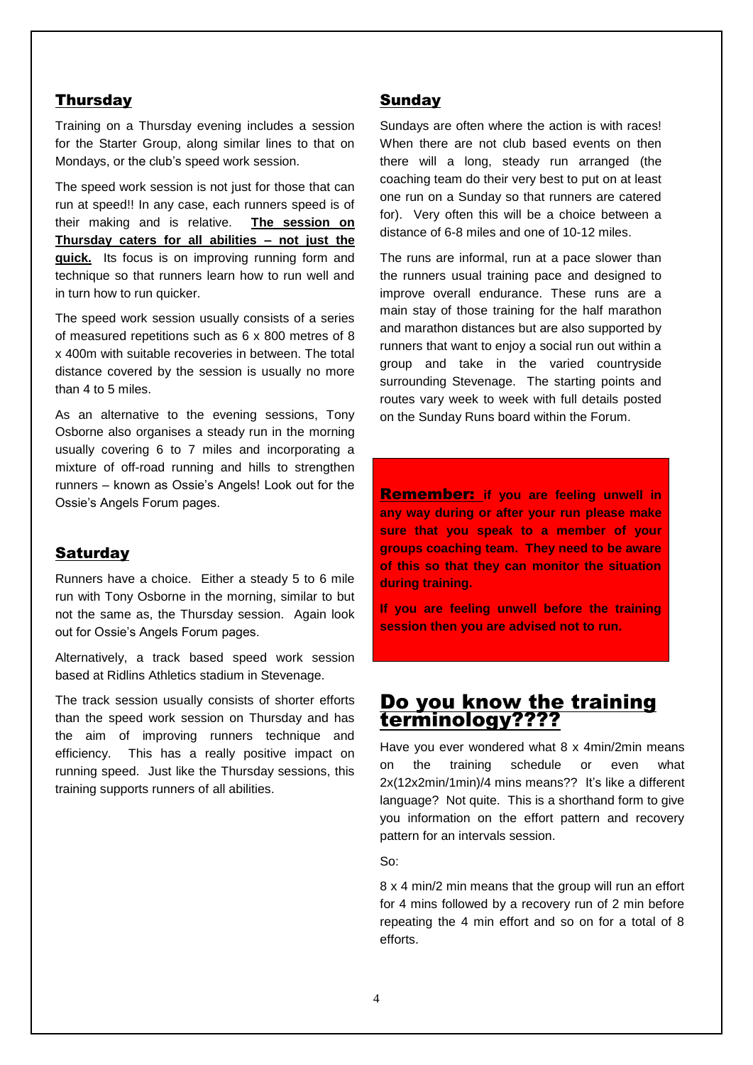### **Thursday**

Training on a Thursday evening includes a session for the Starter Group, along similar lines to that on Mondays, or the club's speed work session.

The speed work session is not just for those that can run at speed!! In any case, each runners speed is of their making and is relative. **The session on Thursday caters for all abilities – not just the quick.** Its focus is on improving running form and technique so that runners learn how to run well and in turn how to run quicker.

The speed work session usually consists of a series of measured repetitions such as 6 x 800 metres of 8 x 400m with suitable recoveries in between. The total distance covered by the session is usually no more than 4 to 5 miles.

As an alternative to the evening sessions, Tony Osborne also organises a steady run in the morning usually covering 6 to 7 miles and incorporating a mixture of off-road running and hills to strengthen runners – known as Ossie's Angels! Look out for the Ossie's Angels Forum pages.

### **Saturdav**

Runners have a choice. Either a steady 5 to 6 mile run with Tony Osborne in the morning, similar to but not the same as, the Thursday session. Again look out for Ossie's Angels Forum pages.

Alternatively, a track based speed work session based at Ridlins Athletics stadium in Stevenage.

The track session usually consists of shorter efforts than the speed work session on Thursday and has the aim of improving runners technique and efficiency. This has a really positive impact on running speed. Just like the Thursday sessions, this training supports runners of all abilities.

### Sunday

Sundays are often where the action is with races! When there are not club based events on then there will a long, steady run arranged (the coaching team do their very best to put on at least one run on a Sunday so that runners are catered for). Very often this will be a choice between a distance of 6-8 miles and one of 10-12 miles.

The runs are informal, run at a pace slower than the runners usual training pace and designed to improve overall endurance. These runs are a main stay of those training for the half marathon and marathon distances but are also supported by runners that want to enjoy a social run out within a group and take in the varied countryside surrounding Stevenage. The starting points and routes vary week to week with full details posted on the Sunday Runs board within the Forum.

Remember: **if you are feeling unwell in any way during or after your run please make sure that you speak to a member of your groups coaching team. They need to be aware of this so that they can monitor the situation during training.** 

**If you are feeling unwell before the training session then you are advised not to run.**

## Do you know the training terminology????

Have you ever wondered what 8 x 4min/2min means on the training schedule or even what 2x(12x2min/1min)/4 mins means?? It's like a different language? Not quite. This is a shorthand form to give you information on the effort pattern and recovery pattern for an intervals session.

So:

8 x 4 min/2 min means that the group will run an effort for 4 mins followed by a recovery run of 2 min before repeating the 4 min effort and so on for a total of 8 efforts.